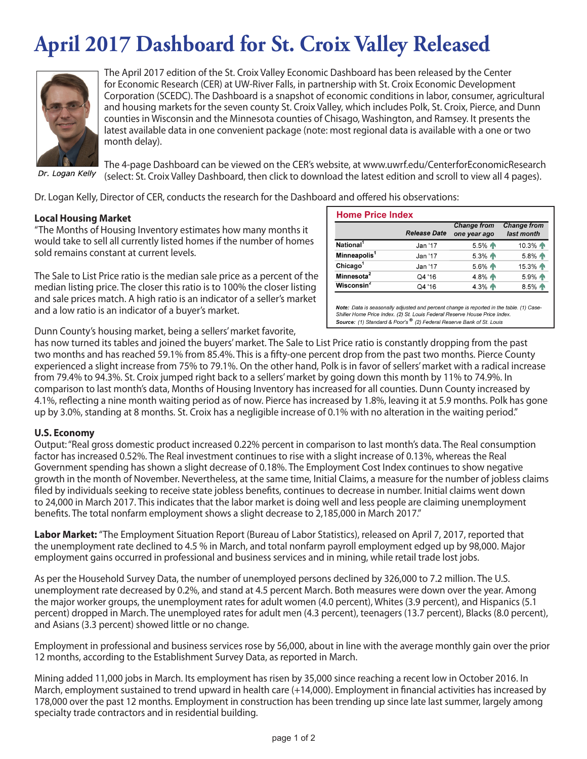# **April 2017 Dashboard for St. Croix Valley Released**



The April 2017 edition of the St. Croix Valley Economic Dashboard has been released by the Center for Economic Research (CER) at UW-River Falls, in partnership with St. Croix Economic Development Corporation (SCEDC). The Dashboard is a snapshot of economic conditions in labor, consumer, agricultural and housing markets for the seven county St. Croix Valley, which includes Polk, St. Croix, Pierce, and Dunn counties in Wisconsin and the Minnesota counties of Chisago, Washington, and Ramsey. It presents the latest available data in one convenient package (note: most regional data is available with a one or two month delay).

Dr. Logan Kelly

The 4-page Dashboard can be viewed on the CER's website, at www.uwrf.edu/CenterforEconomicResearch (select: St. Croix Valley Dashboard, then click to download the latest edition and scroll to view all 4 pages).

Dr. Logan Kelly, Director of CER, conducts the research for the Dashboard and offered his observations:

#### **Local Housing Market**

"The Months of Housing Inventory estimates how many months it would take to sell all currently listed homes if the number of homes sold remains constant at current levels.

The Sale to List Price ratio is the median sale price as a percent of the median listing price. The closer this ratio is to 100% the closer listing and sale prices match. A high ratio is an indicator of a seller's market and a low ratio is an indicator of a buyer's market.

| <b>Home Price Index</b>  |                     |                                    |                                  |
|--------------------------|---------------------|------------------------------------|----------------------------------|
|                          | <b>Release Date</b> | <b>Change from</b><br>one year ago | <b>Change from</b><br>last month |
| National <sup>1</sup>    | Jan '17             | 5.5% 个                             | 10.3%                            |
| Minneapolis <sup>1</sup> | Jan '17             | 5.3% 个                             | 5.8% 个                           |
| Chicago $1$              | Jan '17             | 5.6% 个                             | 15.3% 个                          |
| Minnesota <sup>2</sup>   | Q4 '16              | 4.8% 个                             | 5.9% 个                           |
| Wisconsin $2$            | Q4 '16              | 4.3% 个                             | 8.5% 个                           |

Note: Data is seasonally adjusted and percent change is reported in the table. (1) Case-Shiller Home Price Index. (2) St. Louis Federal Reserve House Price Index. Source: (1) Standard & Poor's ® (2) Federal Reserve Bank of St. Louis

Dunn County's housing market, being a sellers' market favorite,

has now turned its tables and joined the buyers' market. The Sale to List Price ratio is constantly dropping from the past two months and has reached 59.1% from 85.4%. This is a fifty-one percent drop from the past two months. Pierce County experienced a slight increase from 75% to 79.1%. On the other hand, Polk is in favor of sellers' market with a radical increase from 79.4% to 94.3%. St. Croix jumped right back to a sellers' market by going down this month by 11% to 74.9%. In comparison to last month's data, Months of Housing Inventory has increased for all counties. Dunn County increased by 4.1%, reflecting a nine month waiting period as of now. Pierce has increased by 1.8%, leaving it at 5.9 months. Polk has gone up by 3.0%, standing at 8 months. St. Croix has a negligible increase of 0.1% with no alteration in the waiting period."

#### **U.S. Economy**

Output: "Real gross domestic product increased 0.22% percent in comparison to last month's data. The Real consumption factor has increased 0.52%. The Real investment continues to rise with a slight increase of 0.13%, whereas the Real Government spending has shown a slight decrease of 0.18%. The Employment Cost Index continues to show negative growth in the month of November. Nevertheless, at the same time, Initial Claims, a measure for the number of jobless claims filed by individuals seeking to receive state jobless benefits, continues to decrease in number. Initial claims went down to 24,000 in March 2017. This indicates that the labor market is doing well and less people are claiming unemployment benefits. The total nonfarm employment shows a slight decrease to 2,185,000 in March 2017."

**Labor Market:** "The Employment Situation Report (Bureau of Labor Statistics), released on April 7, 2017, reported that the unemployment rate declined to 4.5 % in March, and total nonfarm payroll employment edged up by 98,000. Major employment gains occurred in professional and business services and in mining, while retail trade lost jobs.

As per the Household Survey Data, the number of unemployed persons declined by 326,000 to 7.2 million. The U.S. unemployment rate decreased by 0.2%, and stand at 4.5 percent March. Both measures were down over the year. Among the major worker groups, the unemployment rates for adult women (4.0 percent), Whites (3.9 percent), and Hispanics (5.1 percent) dropped in March. The unemployed rates for adult men (4.3 percent), teenagers (13.7 percent), Blacks (8.0 percent), and Asians (3.3 percent) showed little or no change.

Employment in professional and business services rose by 56,000, about in line with the average monthly gain over the prior 12 months, according to the Establishment Survey Data, as reported in March.

Mining added 11,000 jobs in March. Its employment has risen by 35,000 since reaching a recent low in October 2016. In March, employment sustained to trend upward in health care (+14,000). Employment in financial activities has increased by 178,000 over the past 12 months. Employment in construction has been trending up since late last summer, largely among specialty trade contractors and in residential building.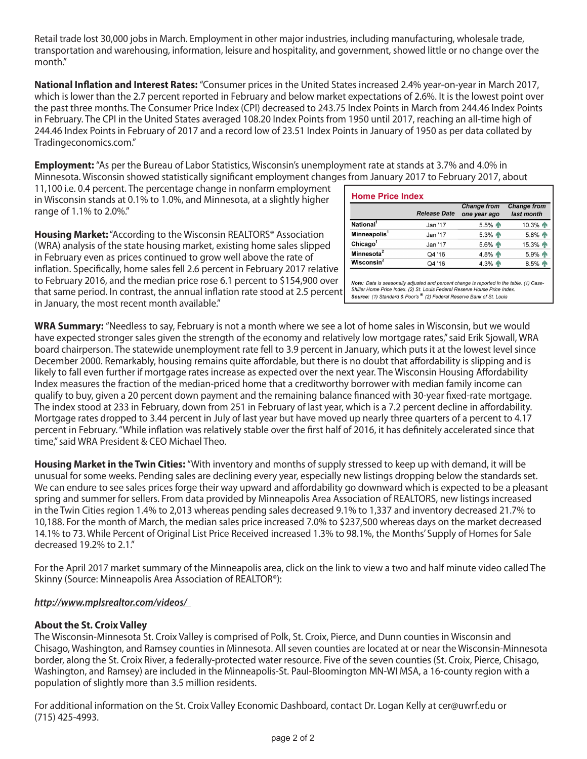Retail trade lost 30,000 jobs in March. Employment in other major industries, including manufacturing, wholesale trade, transportation and warehousing, information, leisure and hospitality, and government, showed little or no change over the month."

**National Inflation and Interest Rates:** "Consumer prices in the United States increased 2.4% year-on-year in March 2017, which is lower than the 2.7 percent reported in February and below market expectations of 2.6%. It is the lowest point over the past three months. The Consumer Price Index (CPI) decreased to 243.75 Index Points in March from 244.46 Index Points in February. The CPI in the United States averaged 108.20 Index Points from 1950 until 2017, reaching an all-time high of 244.46 Index Points in February of 2017 and a record low of 23.51 Index Points in January of 1950 as per data collated by Tradingeconomics.com."

**Employment:** "As per the Bureau of Labor Statistics, Wisconsin's unemployment rate at stands at 3.7% and 4.0% in Minnesota. Wisconsin showed statistically significant employment changes from January 2017 to February 2017, about

11,100 i.e. 0.4 percent. The percentage change in nonfarm employment in Wisconsin stands at 0.1% to 1.0%, and Minnesota, at a slightly higher range of 1.1% to 2.0%."

**Housing Market:** "According to the Wisconsin REALTORS® Association (WRA) analysis of the state housing market, existing home sales slipped in February even as prices continued to grow well above the rate of inflation. Specifically, home sales fell 2.6 percent in February 2017 relative to February 2016, and the median price rose 6.1 percent to \$154,900 over that same period. In contrast, the annual inflation rate stood at 2.5 percent in January, the most recent month available."

|                          | <b>Release Date</b> | <b>Change from</b><br>one year ago | <b>Change from</b><br>last month |
|--------------------------|---------------------|------------------------------------|----------------------------------|
| National <sup>1</sup>    | Jan '17             | 5.5% 个                             | 10.3% 个                          |
| Minneapolis <sup>1</sup> | Jan '17             | 5.3% 个                             | 5.8% 个                           |
| Chicago <sup>1</sup>     | Jan '17             | $5.6\%$ 个                          | 15.3% 个                          |
| Minnesota <sup>2</sup>   | Q4 '16              | 4.8% 个                             | 5.9% 个                           |
| Wisconsin $2$            | Q4 '16              | 4.3% 个                             | 8.5%                             |

Note: Data is seasonally adjusted and percent change is reported in the table. (1) Case-Shiller Home Price Index. (2) St. Louis Federal Reserve House Price Index. Source: (1) Standard & Poor's<sup>®</sup> (2) Federal Reserve Bank of St. Louis

**WRA Summary:** "Needless to say, February is not a month where we see a lot of home sales in Wisconsin, but we would have expected stronger sales given the strength of the economy and relatively low mortgage rates," said Erik Sjowall, WRA board chairperson. The statewide unemployment rate fell to 3.9 percent in January, which puts it at the lowest level since December 2000. Remarkably, housing remains quite affordable, but there is no doubt that affordability is slipping and is likely to fall even further if mortgage rates increase as expected over the next year. The Wisconsin Housing Affordability Index measures the fraction of the median-priced home that a creditworthy borrower with median family income can qualify to buy, given a 20 percent down payment and the remaining balance financed with 30-year fixed-rate mortgage. The index stood at 233 in February, down from 251 in February of last year, which is a 7.2 percent decline in affordability. Mortgage rates dropped to 3.44 percent in July of last year but have moved up nearly three quarters of a percent to 4.17 percent in February. "While inflation was relatively stable over the first half of 2016, it has definitely accelerated since that time," said WRA President & CEO Michael Theo.

**Housing Market in the Twin Cities:** "With inventory and months of supply stressed to keep up with demand, it will be unusual for some weeks. Pending sales are declining every year, especially new listings dropping below the standards set. We can endure to see sales prices forge their way upward and affordability go downward which is expected to be a pleasant spring and summer for sellers. From data provided by Minneapolis Area Association of REALTORS, new listings increased in the Twin Cities region 1.4% to 2,013 whereas pending sales decreased 9.1% to 1,337 and inventory decreased 21.7% to 10,188. For the month of March, the median sales price increased 7.0% to \$237,500 whereas days on the market decreased 14.1% to 73. While Percent of Original List Price Received increased 1.3% to 98.1%, the Months' Supply of Homes for Sale decreased 19.2% to 2.1."

For the April 2017 market summary of the Minneapolis area, click on the link to view a two and half minute video called The Skinny (Source: Minneapolis Area Association of REALTOR®):

## *http://www.mplsrealtor.com/videos/*

#### **About the St. Croix Valley**

The Wisconsin-Minnesota St. Croix Valley is comprised of Polk, St. Croix, Pierce, and Dunn counties in Wisconsin and Chisago, Washington, and Ramsey counties in Minnesota. All seven counties are located at or near the Wisconsin-Minnesota border, along the St. Croix River, a federally-protected water resource. Five of the seven counties (St. Croix, Pierce, Chisago, Washington, and Ramsey) are included in the Minneapolis-St. Paul-Bloomington MN-WI MSA, a 16-county region with a population of slightly more than 3.5 million residents.

For additional information on the St. Croix Valley Economic Dashboard, contact Dr. Logan Kelly at cer@uwrf.edu or (715) 425-4993.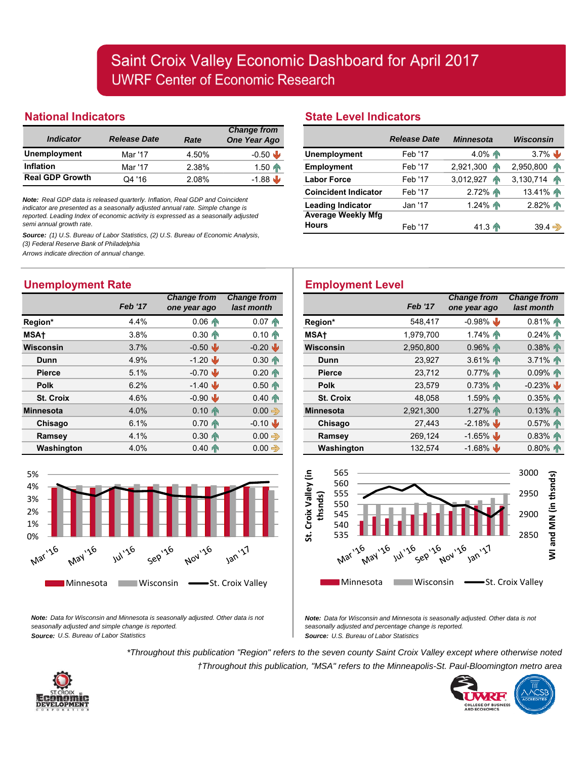## **National Indicators**

|                         |                     |       | <b>Change from</b> |
|-------------------------|---------------------|-------|--------------------|
| <i><b>Indicator</b></i> | <b>Release Date</b> | Rate  | One Year Ago       |
| <b>Unemployment</b>     | Mar '17             | 4.50% | $-0.50$            |
| <b>Inflation</b>        | Mar '17             | 2.38% | $1.50 \, \text{m}$ |
| <b>Real GDP Growth</b>  | Q4 '16              | 2.08% | $-1.88$            |

*Note: Real GDP data is released quarterly. Inflation, Real GDP and Coincident indicator are presented as a seasonally adjusted annual rate. Simple change is reported. Leading Index of economic activity is expressed as a seasonally adjusted semi annual growth rate.*

*Source: (1) U.S. Bureau of Labor Statistics, (2) U.S. Bureau of Economic Analysis, (3) Federal Reserve Bank of Philadelphia*

*Arrows indicate direction of annual change.*

# **Unemployment Rate**

|                  | <b>Feb '17</b> | <b>Change from</b><br>one year ago | <b>Change from</b><br>last month |
|------------------|----------------|------------------------------------|----------------------------------|
| Region*          | 4.4%           | $0.06 \, \text{m}$                 | $0.07 \, \text{m}$               |
| <b>MSAt</b>      | 3.8%           | $0.30 \, \text{m}$                 | $0.10 \, \text{m}$               |
| Wisconsin        | 3.7%           | $-0.50$                            | $-0.20$                          |
| Dunn             | 4.9%           | $-1.20$                            | $0.30 \, \text{m}$               |
| <b>Pierce</b>    | 5.1%           | $-0.70$                            | $0.20 \, \text{m}$               |
| <b>Polk</b>      | 6.2%           | $-1.40$                            | $0.50 \, \text{m}$               |
| <b>St. Croix</b> | 4.6%           | $-0.90$                            | $0.40 \, \text{m}$               |
| <b>Minnesota</b> | 4.0%           | $0.10 \, \text{m}$                 | $0.00 \Rightarrow$               |
| Chisago          | 6.1%           | $0.70 \, \text{m}$                 | $-0.10$                          |
| Ramsey           | 4.1%           | $0.30 \, \text{m}$                 | $0.00 \Rightarrow$               |
| Washington       | 4.0%           | $0.40 \, \text{m}$                 | $0.00 \Rightarrow$               |



*Note: Data for Wisconsin and Minnesota is seasonally adjusted. Other data is not seasonally adjusted and simple change is reported. Source: U.S. Bureau of Labor Statistics*

## **State Level Indicators**

|                             | <b>Release Date</b> | <b>Minnesota</b>   | Wisconsin            |
|-----------------------------|---------------------|--------------------|----------------------|
| <b>Unemployment</b>         | Feb '17             | 4.0%               | $3.7\%$              |
| Employment                  | Feb '17             | 2,921,300<br>ЙN    | 2,950,800<br>ИN      |
| <b>Labor Force</b>          | Feb '17             | 3,012,927<br>ИN    | 3,130,714 $\uparrow$ |
| <b>Coincident Indicator</b> | Feb '17             | 2.72%              | 13.41%               |
| <b>Leading Indicator</b>    | Jan '17.            | 1.24%              | 2.82%                |
| <b>Average Weekly Mfg</b>   |                     |                    |                      |
| <b>Hours</b>                | Feb '17             | $41.3 \, \text{m}$ | $39.4 \Rightarrow$   |

# **Employment Level**

| hange from:<br>last month |                  | <b>Feb '17</b> | <b>Change from</b><br>one year ago | <b>Change from</b><br>last month |
|---------------------------|------------------|----------------|------------------------------------|----------------------------------|
| $0.07 \, \text{m}$        | Region*          | 548,417        | $-0.98\%$                          | $0.81\%$                         |
| $0.10 \, \text{m}$        | <b>MSAt</b>      | 1,979,700      | $1.74\%$                           | $0.24\%$                         |
| $-0.20$                   | <b>Wisconsin</b> | 2,950,800      | $0.96\%$                           | $0.38\%$                         |
| $0.30 \, \text{m}$        | Dunn             | 23,927         | $3.61\%$                           | 3.71%                            |
| $0.20 \, \text{m}$        | <b>Pierce</b>    | 23,712         | $0.77\%$                           | 0.09%                            |
| $0.50 \, \text{m}$        | <b>Polk</b>      | 23,579         | $0.73\%$                           | $-0.23\%$                        |
| $0.40 \, \text{m}$        | St. Croix        | 48.058         | 1.59% AN                           | 0.35%                            |
| $0.00 \Rightarrow$        | <b>Minnesota</b> | 2,921,300      | 1.27% AN                           | 0.13%                            |
| $-0.10$                   | Chisago          | 27.443         | $-2.18\%$                          | $0.57\%$                         |
| $0.00 \Rightarrow$        | Ramsey           | 269,124        | $-1.65\%$                          | $0.83\%$                         |
| $0.00 \Rightarrow$        | Washington       | 132,574        | $-1.68\%$                          | $0.80\%$                         |



*Note: Data for Wisconsin and Minnesota is seasonally adjusted. Other data is not seasonally adjusted and percentage change is reported. Source: U.S. Bureau of Labor Statistics*

*\*Throughout this publication "Region" refers to the seven county Saint Croix Valley except where otherwise noted †Throughout this publication, "MSA" refers to the Minneapolis-St. Paul-Bloomington metro area*



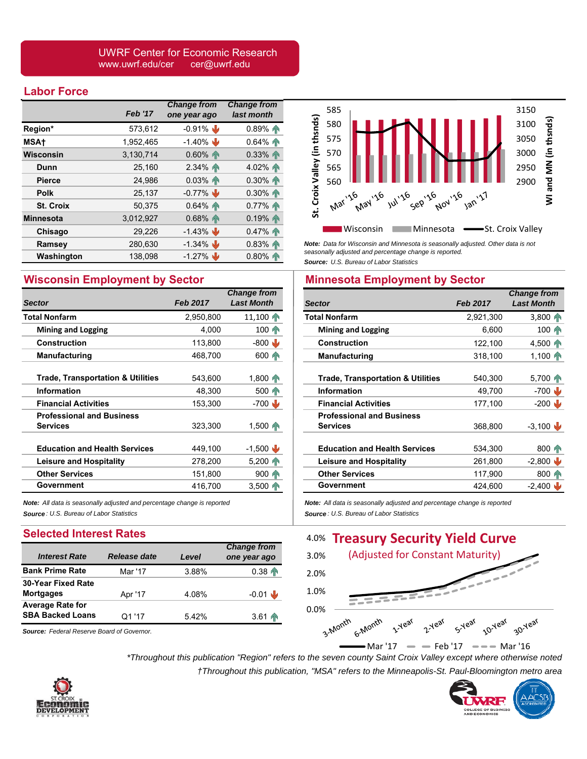#### UWRF Center for Economic Research www.uwrf.edu/cer cer@uwrf.edu

#### **Labor Force**

|                  | <b>Feb '17</b> | <b>Change from</b><br>one year ago | <b>Change from</b><br>last month |
|------------------|----------------|------------------------------------|----------------------------------|
| Region*          | 573,612        | $-0.91\%$                          | 0.89%                            |
| <b>MSAt</b>      | 1,952,465      | $-1.40\%$                          | $0.64\%$                         |
| <b>Wisconsin</b> | 3,130,714      | $0.60\%$                           | $0.33\%$                         |
| Dunn             | 25,160         | $2.34\%$                           | 4.02%                            |
| <b>Pierce</b>    | 24,986         | $0.03\%$                           | $0.30\%$                         |
| <b>Polk</b>      | 25,137         | $-0.77\%$                          | $0.30\%$                         |
| <b>St. Croix</b> | 50,375         | $0.64\%$                           | 0.77%                            |
| <b>Minnesota</b> | 3,012,927      | $0.68\%$                           | 0.19%                            |
| Chisago          | 29,226         | $-1.43\%$                          | 0.47%                            |
| Ramsey           | 280,630        | $-1.34\%$                          | $0.83\%$                         |
| Washington       | 138,098        | $-1.27\%$                          | $0.80\%$                         |

## **Wisconsin Employment by Sector**

|                                                     |                 | <b>Change from</b>    |
|-----------------------------------------------------|-----------------|-----------------------|
| <b>Sector</b>                                       | <b>Feb 2017</b> | <b>Last Month</b>     |
| <b>Total Nonfarm</b>                                | 2,950,800       | $11,100$ T            |
| <b>Mining and Logging</b>                           | 4,000           | 100 Th                |
| Construction                                        | 113,800         | $-800$                |
| <b>Manufacturing</b>                                | 468,700         | $600 \, \text{m}$     |
| <b>Trade, Transportation &amp; Utilities</b>        | 543,600         | $1,800$ $\rightarrow$ |
| <b>Information</b>                                  | 48.300          | 500 T                 |
| <b>Financial Activities</b>                         | 153,300         | $-700$                |
| <b>Professional and Business</b><br><b>Services</b> | 323,300         | $1,500$ T             |
| <b>Education and Health Services</b>                | 449,100         | $-1,500$              |
| <b>Leisure and Hospitality</b>                      | 278,200         | $5,200$ $\sqrt{ }$    |
| <b>Other Services</b>                               | 151,800         | $900 -$               |
| Government                                          | 416,700         | $3,500$ T             |

*Note: All data is seasonally adjusted and percentage change is reported Source : U.S. Bureau of Labor Statistics*

#### **Selected Interest Rates**

|                           |              |       | <b>Change from</b> |
|---------------------------|--------------|-------|--------------------|
| <b>Interest Rate</b>      | Release date | Level | one year ago       |
| <b>Bank Prime Rate</b>    | Mar '17      | 3.88% | $0.38 \, \text{m}$ |
| <b>30-Year Fixed Rate</b> |              |       |                    |
| <b>Mortgages</b>          | Apr '17      | 4.08% | $-0.01$            |
| <b>Average Rate for</b>   |              |       |                    |
| <b>SBA Backed Loans</b>   | Q1 '17       | 5.42% | $3.61 \, \text{m}$ |
|                           |              |       |                    |

*Source: Federal Reserve Board of Governor.*



*Note: Data for Wisconsin and Minnesota is seasonally adjusted. Other data is not seasonally adjusted and percentage change is reported. Source: U.S. Bureau of Labor Statistics*

## **Minnesota Employment by Sector**

| <b>Sector</b>                                       | <b>Feb 2017</b> | <b>Change from</b><br><b>Last Month</b> |
|-----------------------------------------------------|-----------------|-----------------------------------------|
| <b>Total Nonfarm</b>                                | 2,921,300       | $3,800$ $\wedge$                        |
| <b>Mining and Logging</b>                           | 6,600           | $100 \, \text{m}$                       |
| <b>Construction</b>                                 | 122,100         | $4,500$ $\bullet$                       |
| <b>Manufacturing</b>                                | 318,100         | $1,100$ $\bullet$                       |
| <b>Trade, Transportation &amp; Utilities</b>        | 540,300         | 5,700 PM                                |
| Information                                         | 49,700          | $-700$                                  |
| <b>Financial Activities</b>                         | 177,100         | $-200$                                  |
| <b>Professional and Business</b><br><b>Services</b> | 368,800         | $-3,100$                                |
| <b>Education and Health Services</b>                | 534,300         | $800 \, \text{m}$                       |
| <b>Leisure and Hospitality</b>                      | 261,800         | $-2,800$                                |
| <b>Other Services</b>                               | 117,900         | $800 \, \text{m}$                       |
| Government                                          | 424,600         | $-2,400$ $\vee$                         |
|                                                     |                 |                                         |

*Note: All data is seasonally adjusted and percentage change is reported Source : U.S. Bureau of Labor Statistics*



 $-Mar '17$   $-$  Feb '17  $-Mar '16$ 

*\*Throughout this publication "Region" refers to the seven county Saint Croix Valley except where otherwise noted †Throughout this publication, "MSA" refers to the Minneapolis-St. Paul-Bloomington metro area*



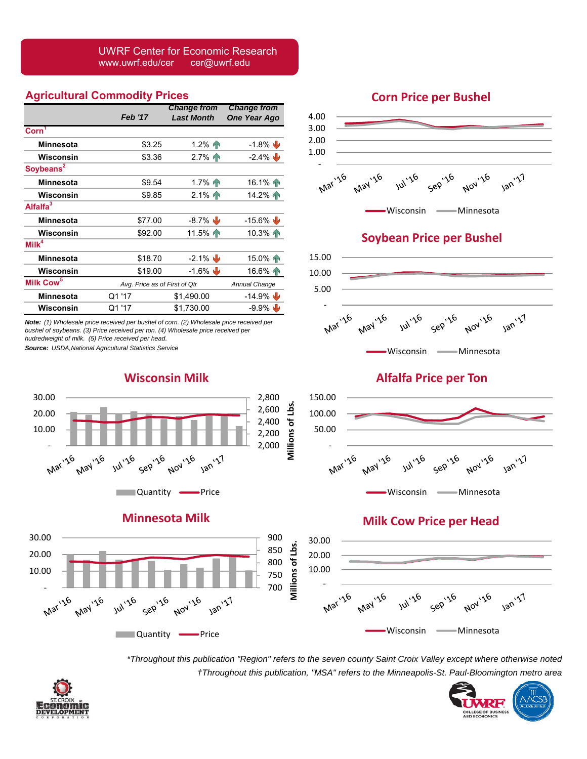#### UWRF Center for Economic Research www.uwrf.edu/cer cer@uwrf.edu

## **Agricultural Commodity Prices**

|                       |                | <b>Change from</b>            | <b>Change from</b> |
|-----------------------|----------------|-------------------------------|--------------------|
|                       | <b>Feb '17</b> | <b>Last Month</b>             | One Year Ago       |
| $\mathrm{Corn}^1$     |                |                               |                    |
| Minnesota             | \$3.25         | $1.2\%$ 1                     | $-1.8\%$           |
| Wisconsin             | \$3.36         | $2.7\%$                       | $-2.4\%$           |
| Soybeans <sup>2</sup> |                |                               |                    |
| <b>Minnesota</b>      | \$9.54         | $1.7%$ 1                      | $16.1\%$ T         |
| Wisconsin             | \$9.85         | $2.1\%$                       | $14.2\%$           |
| Alfalfa <sup>3</sup>  |                |                               |                    |
| Minnesota             | \$77.00        | $-8.7\%$                      | $-15.6\%$          |
| Wisconsin             | \$92.00        | 11.5%                         | 10.3%              |
| $M$ ilk <sup>4</sup>  |                |                               |                    |
| <b>Minnesota</b>      | \$18.70        | $-2.1\%$                      | 15.0%              |
| Wisconsin             | \$19.00        | $-1.6\%$                      | $16.6\%$           |
| Milk Cow <sup>5</sup> |                | Avg. Price as of First of Qtr |                    |
| Minnesota             | Q1 '17         | \$1,490.00                    | $-14.9\%$          |
| Wisconsin             | Q1 '17         | \$1,730.00                    | $-9.9\%$           |

*Note: (1) Wholesale price received per bushel of corn. (2) Wholesale price received per bushel of soybeans. (3) Price received per ton. (4) Wholesale price received per hudredweight of milk. (5) Price received per head.* 

*Source: USDA,National Agricultural Statistics Service*

### **Wisconsin Milk**







## **Corn Price per Bushel**





# **Soybean Price per Bushel**



**Alfalfa Price per Ton**



# **Milk Cow Price per Head**



*\*Throughout this publication "Region" refers to the seven county Saint Croix Valley except where otherwise noted †Throughout this publication, "MSA" refers to the Minneapolis-St. Paul-Bloomington metro area*

**Millions of Lbs.**